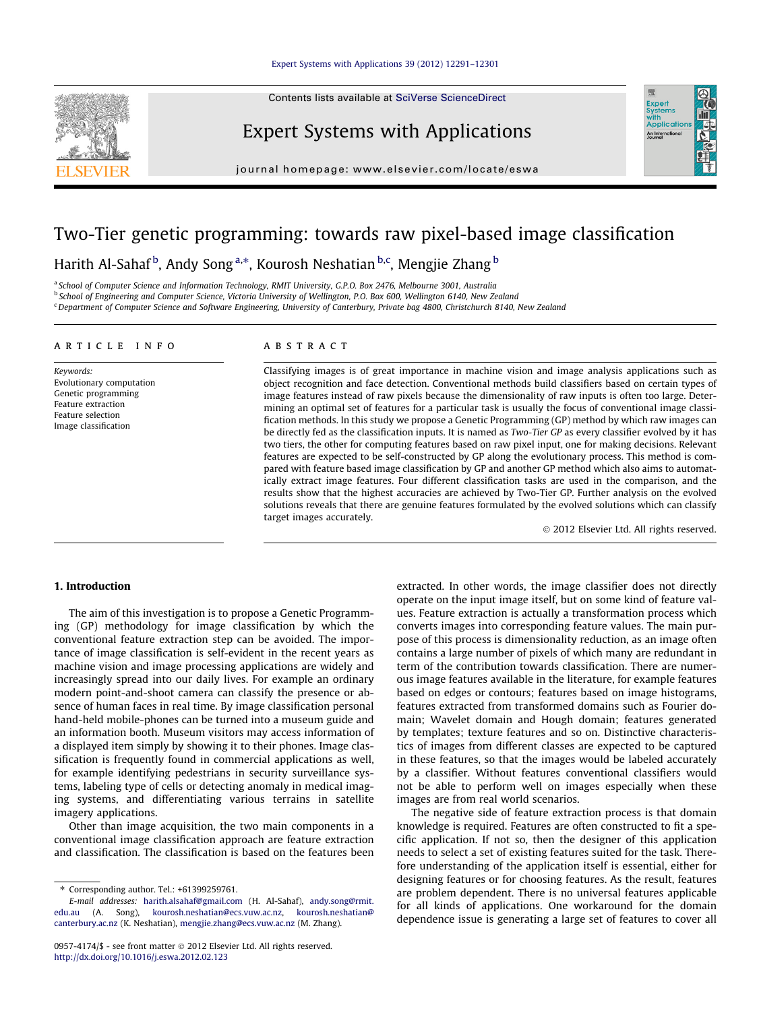Contents lists available at [SciVerse ScienceDirect](http://www.sciencedirect.com/science/journal/09574174)



### Expert Systems with Applications

journal homepage: [www.elsevier.com/locate/eswa](http://www.elsevier.com/locate/eswa)

## Two-Tier genetic programming: towards raw pixel-based image classification

### Harith Al-Sahaf <sup>b</sup>, Andy Song <sup>a,</sup>\*, Kourosh Neshatian <sup>b,c</sup>, Mengjie Zhang <sup>b</sup>

a School of Computer Science and Information Technology, RMIT University, G.P.O. Box 2476, Melbourne 3001, Australia <sup>b</sup> School of Engineering and Computer Science, Victoria University of Wellington, P.O. Box 600, Wellington 6140, New Zealand <sup>c</sup> Department of Computer Science and Software Engineering, University of Canterbury, Private bag 4800, Christchurch 8140, New Zealand

#### article info

Keywords: Evolutionary computation Genetic programming Feature extraction Feature selection Image classification

#### ABSTRACT

Classifying images is of great importance in machine vision and image analysis applications such as object recognition and face detection. Conventional methods build classifiers based on certain types of image features instead of raw pixels because the dimensionality of raw inputs is often too large. Determining an optimal set of features for a particular task is usually the focus of conventional image classification methods. In this study we propose a Genetic Programming (GP) method by which raw images can be directly fed as the classification inputs. It is named as Two-Tier GP as every classifier evolved by it has two tiers, the other for computing features based on raw pixel input, one for making decisions. Relevant features are expected to be self-constructed by GP along the evolutionary process. This method is compared with feature based image classification by GP and another GP method which also aims to automatically extract image features. Four different classification tasks are used in the comparison, and the results show that the highest accuracies are achieved by Two-Tier GP. Further analysis on the evolved solutions reveals that there are genuine features formulated by the evolved solutions which can classify target images accurately.

- 2012 Elsevier Ltd. All rights reserved.

Expert<br>Syster Applicatio An Interna

#### 1. Introduction

The aim of this investigation is to propose a Genetic Programming (GP) methodology for image classification by which the conventional feature extraction step can be avoided. The importance of image classification is self-evident in the recent years as machine vision and image processing applications are widely and increasingly spread into our daily lives. For example an ordinary modern point-and-shoot camera can classify the presence or absence of human faces in real time. By image classification personal hand-held mobile-phones can be turned into a museum guide and an information booth. Museum visitors may access information of a displayed item simply by showing it to their phones. Image classification is frequently found in commercial applications as well, for example identifying pedestrians in security surveillance systems, labeling type of cells or detecting anomaly in medical imaging systems, and differentiating various terrains in satellite imagery applications.

Other than image acquisition, the two main components in a conventional image classification approach are feature extraction and classification. The classification is based on the features been

0957-4174/\$ - see front matter © 2012 Elsevier Ltd. All rights reserved. <http://dx.doi.org/10.1016/j.eswa.2012.02.123>

extracted. In other words, the image classifier does not directly operate on the input image itself, but on some kind of feature values. Feature extraction is actually a transformation process which converts images into corresponding feature values. The main purpose of this process is dimensionality reduction, as an image often contains a large number of pixels of which many are redundant in term of the contribution towards classification. There are numerous image features available in the literature, for example features based on edges or contours; features based on image histograms, features extracted from transformed domains such as Fourier domain; Wavelet domain and Hough domain; features generated by templates; texture features and so on. Distinctive characteristics of images from different classes are expected to be captured in these features, so that the images would be labeled accurately by a classifier. Without features conventional classifiers would not be able to perform well on images especially when these images are from real world scenarios.

The negative side of feature extraction process is that domain knowledge is required. Features are often constructed to fit a specific application. If not so, then the designer of this application needs to select a set of existing features suited for the task. Therefore understanding of the application itself is essential, either for designing features or for choosing features. As the result, features are problem dependent. There is no universal features applicable for all kinds of applications. One workaround for the domain dependence issue is generating a large set of features to cover all

<sup>⇑</sup> Corresponding author. Tel.: +61399259761.

E-mail addresses: [harith.alsahaf@gmail.com](mailto:harith.alsahaf@gmail.com) (H. Al-Sahaf), [andy.song@rmit.](mailto:andy.song@rmit.edu.au) [edu.au](mailto:andy.song@rmit.edu.au) (A. Song), [kourosh.neshatian@ecs.vuw.ac.nz](mailto:kourosh.neshatian@ecs.vuw.ac.nz), [kourosh.neshatian@](mailto:kourosh.neshatian@canterbury.ac.nz) [canterbury.ac.nz](mailto:kourosh.neshatian@canterbury.ac.nz) (K. Neshatian), [mengjie.zhang@ecs.vuw.ac.nz](mailto:mengjie.zhang@ecs.vuw.ac.nz) (M. Zhang).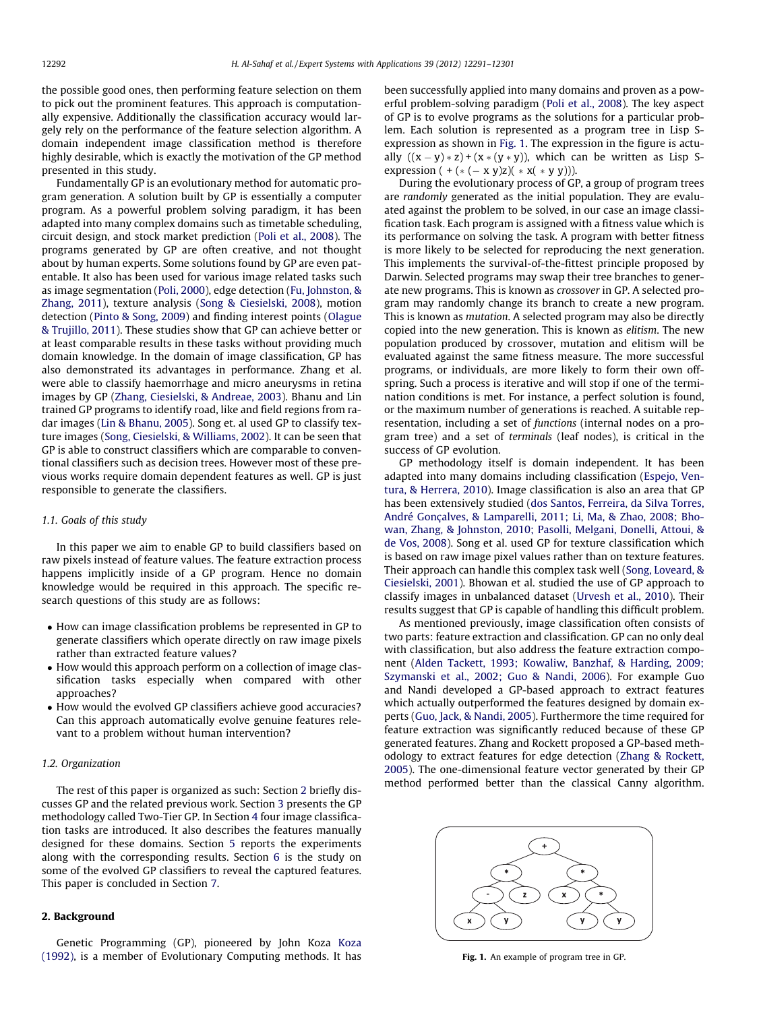the possible good ones, then performing feature selection on them to pick out the prominent features. This approach is computationally expensive. Additionally the classification accuracy would largely rely on the performance of the feature selection algorithm. A domain independent image classification method is therefore highly desirable, which is exactly the motivation of the GP method presented in this study.

Fundamentally GP is an evolutionary method for automatic program generation. A solution built by GP is essentially a computer program. As a powerful problem solving paradigm, it has been adapted into many complex domains such as timetable scheduling, circuit design, and stock market prediction ([Poli et al., 2008](#page--1-0)). The programs generated by GP are often creative, and not thought about by human experts. Some solutions found by GP are even patentable. It also has been used for various image related tasks such as image segmentation [\(Poli, 2000\)](#page--1-0), edge detection ([Fu, Johnston, &](#page--1-0) [Zhang, 2011](#page--1-0)), texture analysis [\(Song & Ciesielski, 2008\)](#page--1-0), motion detection ([Pinto & Song, 2009\)](#page--1-0) and finding interest points ([Olague](#page--1-0) [& Trujillo, 2011](#page--1-0)). These studies show that GP can achieve better or at least comparable results in these tasks without providing much domain knowledge. In the domain of image classification, GP has also demonstrated its advantages in performance. Zhang et al. were able to classify haemorrhage and micro aneurysms in retina images by GP [\(Zhang, Ciesielski, & Andreae, 2003](#page--1-0)). Bhanu and Lin trained GP programs to identify road, like and field regions from radar images [\(Lin & Bhanu, 2005](#page--1-0)). Song et. al used GP to classify texture images [\(Song, Ciesielski, & Williams, 2002](#page--1-0)). It can be seen that GP is able to construct classifiers which are comparable to conventional classifiers such as decision trees. However most of these previous works require domain dependent features as well. GP is just responsible to generate the classifiers.

#### 1.1. Goals of this study

In this paper we aim to enable GP to build classifiers based on raw pixels instead of feature values. The feature extraction process happens implicitly inside of a GP program. Hence no domain knowledge would be required in this approach. The specific research questions of this study are as follows:

- How can image classification problems be represented in GP to generate classifiers which operate directly on raw image pixels rather than extracted feature values?
- How would this approach perform on a collection of image classification tasks especially when compared with other approaches?
- How would the evolved GP classifiers achieve good accuracies? Can this approach automatically evolve genuine features relevant to a problem without human intervention?

#### 1.2. Organization

The rest of this paper is organized as such: Section 2 briefly discusses GP and the related previous work. Section [3](#page--1-0) presents the GP methodology called Two-Tier GP. In Section [4](#page--1-0) four image classification tasks are introduced. It also describes the features manually designed for these domains. Section [5](#page--1-0) reports the experiments along with the corresponding results. Section [6](#page--1-0) is the study on some of the evolved GP classifiers to reveal the captured features. This paper is concluded in Section [7](#page--1-0).

#### 2. Background

Genetic Programming (GP), pioneered by John Koza [Koza](#page--1-0) [\(1992\),](#page--1-0) is a member of Evolutionary Computing methods. It has been successfully applied into many domains and proven as a powerful problem-solving paradigm ([Poli et al., 2008](#page--1-0)). The key aspect of GP is to evolve programs as the solutions for a particular problem. Each solution is represented as a program tree in Lisp Sexpression as shown in Fig. 1. The expression in the figure is actually  $((x - y) * z) + (x * (y * y))$ , which can be written as Lisp Sexpression  $(+ (+ ( - x y)z)( * x(* y y))).$ 

During the evolutionary process of GP, a group of program trees are randomly generated as the initial population. They are evaluated against the problem to be solved, in our case an image classification task. Each program is assigned with a fitness value which is its performance on solving the task. A program with better fitness is more likely to be selected for reproducing the next generation. This implements the survival-of-the-fittest principle proposed by Darwin. Selected programs may swap their tree branches to generate new programs. This is known as crossover in GP. A selected program may randomly change its branch to create a new program. This is known as mutation. A selected program may also be directly copied into the new generation. This is known as elitism. The new population produced by crossover, mutation and elitism will be evaluated against the same fitness measure. The more successful programs, or individuals, are more likely to form their own offspring. Such a process is iterative and will stop if one of the termination conditions is met. For instance, a perfect solution is found, or the maximum number of generations is reached. A suitable representation, including a set of functions (internal nodes on a program tree) and a set of terminals (leaf nodes), is critical in the success of GP evolution.

GP methodology itself is domain independent. It has been adapted into many domains including classification ([Espejo, Ven](#page--1-0)[tura, & Herrera, 2010\)](#page--1-0). Image classification is also an area that GP has been extensively studied ([dos Santos, Ferreira, da Silva Torres,](#page--1-0) [André Gonçalves, & Lamparelli, 2011; Li, Ma, & Zhao, 2008; Bho](#page--1-0)[wan, Zhang, & Johnston, 2010; Pasolli, Melgani, Donelli, Attoui, &](#page--1-0) [de Vos, 2008\)](#page--1-0). Song et al. used GP for texture classification which is based on raw image pixel values rather than on texture features. Their approach can handle this complex task well [\(Song, Loveard, &](#page--1-0) [Ciesielski, 2001](#page--1-0)). Bhowan et al. studied the use of GP approach to classify images in unbalanced dataset ([Urvesh et al., 2010](#page--1-0)). Their results suggest that GP is capable of handling this difficult problem.

As mentioned previously, image classification often consists of two parts: feature extraction and classification. GP can no only deal with classification, but also address the feature extraction component ([Alden Tackett, 1993; Kowaliw, Banzhaf, & Harding, 2009;](#page--1-0) [Szymanski et al., 2002; Guo & Nandi, 2006\)](#page--1-0). For example Guo and Nandi developed a GP-based approach to extract features which actually outperformed the features designed by domain experts ([Guo, Jack, & Nandi, 2005](#page--1-0)). Furthermore the time required for feature extraction was significantly reduced because of these GP generated features. Zhang and Rockett proposed a GP-based methodology to extract features for edge detection ([Zhang & Rockett,](#page--1-0) [2005\)](#page--1-0). The one-dimensional feature vector generated by their GP method performed better than the classical Canny algorithm.



Fig. 1. An example of program tree in GP.